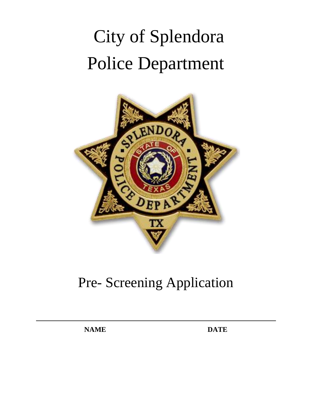# City of Splendora Police Department



# Pre- Screening Application

**NAME DATE**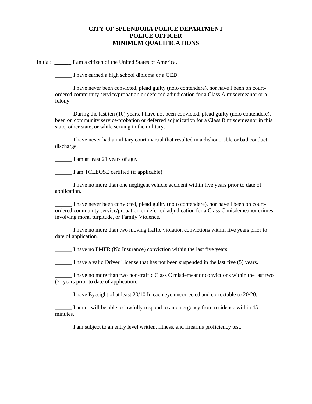#### **CITY OF SPLENDORA POLICE DEPARTMENT POLICE OFFICER MINIMUM QUALIFICATIONS**

Initial: I am a citizen of the United States of America.

\_\_\_\_\_\_ I have earned a high school diploma or a GED.

I have never been convicted, plead guilty (nolo contendere), nor have I been on courtordered community service/probation or deferred adjudication for a Class A misdemeanor or a felony.

During the last ten  $(10)$  years, I have not been convicted, plead guilty (nolo contendere), been on community service/probation or deferred adjudication for a Class B misdemeanor in this state, other state, or while serving in the military.

\_\_\_\_\_\_ I have never had a military court martial that resulted in a dishonorable or bad conduct discharge.

\_\_\_\_\_\_ I am at least 21 years of age.

\_\_\_\_\_\_ I am TCLEOSE certified (if applicable)

\_\_\_\_\_\_ I have no more than one negligent vehicle accident within five years prior to date of application.

I have never been convicted, plead guilty (nolo contendere), nor have I been on courtordered community service/probation or deferred adjudication for a Class C misdemeanor crimes involving moral turpitude, or Family Violence.

\_\_\_\_\_\_ I have no more than two moving traffic violation convictions within five years prior to date of application.

\_\_\_\_\_\_ I have no FMFR (No Insurance) conviction within the last five years.

I have a valid Driver License that has not been suspended in the last five (5) years.

\_\_\_\_\_\_ I have no more than two non-traffic Class C misdemeanor convictions within the last two (2) years prior to date of application.

\_\_\_\_\_\_ I have Eyesight of at least 20/10 In each eye uncorrected and correctable to 20/20.

I am or will be able to lawfully respond to an emergency from residence within 45 minutes.

I am subject to an entry level written, fitness, and firearms proficiency test.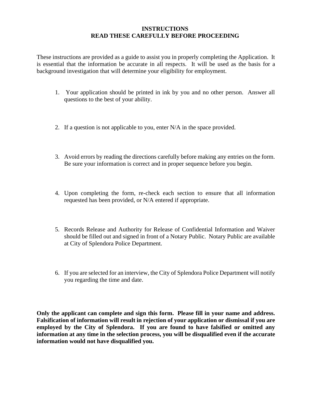#### **INSTRUCTIONS READ THESE CAREFULLY BEFORE PROCEEDING**

These instructions are provided as a guide to assist you in properly completing the Application. It is essential that the information be accurate in all respects. It will be used as the basis for a background investigation that will determine your eligibility for employment.

- 1. Your application should be printed in ink by you and no other person. Answer all questions to the best of your ability.
- 2. If a question is not applicable to you, enter N/A in the space provided.
- 3. Avoid errors by reading the directions carefully before making any entries on the form. Be sure your information is correct and in proper sequence before you begin.
- 4. Upon completing the form, re-check each section to ensure that all information requested has been provided, or N/A entered if appropriate.
- 5. Records Release and Authority for Release of Confidential Information and Waiver should be filled out and signed in front of a Notary Public. Notary Public are available at City of Splendora Police Department.
- 6. If you are selected for an interview, the City of Splendora Police Department will notify you regarding the time and date.

**Only the applicant can complete and sign this form. Please fill in your name and address. Falsification of information will result in rejection of your application or dismissal if you are employed by the City of Splendora. If you are found to have falsified or omitted any information at any time in the selection process, you will be disqualified even if the accurate information would not have disqualified you.**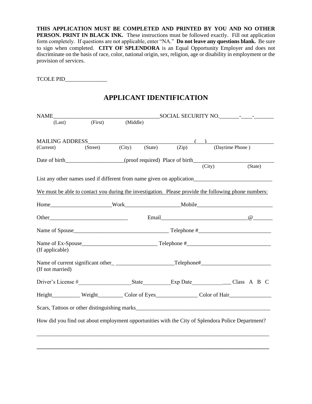**THIS APPLICATION MUST BE COMPLETED AND PRINTED BY YOU AND NO OTHER PERSON. PRINT IN BLACK INK.** These instructions must be followed exactly. Fill out application form completely. If questions are not applicable, enter "NA." **Do not leave any questions blank.** Be sure to sign when completed. **CITY OF SPLENDORA** is an Equal Opportunity Employer and does not discriminate on the basis of race, color, national origin, sex, religion, age or disability in employment or the provision of services.

TCOLE PID\_\_\_\_\_\_\_\_\_\_\_\_\_\_\_

## **APPLICANT IDENTIFICATION**

| <b>NAME</b>                                                                                          |         |          |                                                                   |        |                 |         |  |
|------------------------------------------------------------------------------------------------------|---------|----------|-------------------------------------------------------------------|--------|-----------------|---------|--|
| (Last)                                                                                               | (First) | (Middle) |                                                                   |        |                 |         |  |
|                                                                                                      |         |          |                                                                   |        |                 |         |  |
| MAILING ADDRESS                                                                                      |         |          |                                                                   |        |                 |         |  |
| (Current)                                                                                            |         |          | $(\text{Street})$ $(\text{City})$ $(\text{State})$ $(\text{Zip})$ |        | (Daytime Phone) |         |  |
| Date of birth___________________(proof required) Place of birth__________________                    |         |          |                                                                   |        |                 |         |  |
|                                                                                                      |         |          |                                                                   | (City) |                 | (State) |  |
|                                                                                                      |         |          |                                                                   |        |                 |         |  |
| We must be able to contact you during the investigation. Please provide the following phone numbers: |         |          |                                                                   |        |                 |         |  |
|                                                                                                      |         |          |                                                                   |        |                 |         |  |
|                                                                                                      |         |          |                                                                   |        |                 |         |  |
|                                                                                                      |         |          |                                                                   |        |                 |         |  |
| (If applicable)                                                                                      |         |          |                                                                   |        |                 |         |  |
| (If not married)                                                                                     |         |          |                                                                   |        |                 |         |  |
|                                                                                                      |         |          |                                                                   |        |                 |         |  |
| Height___________ Weight__________ Color of Eyes________________ Color of Hair_____________________  |         |          |                                                                   |        |                 |         |  |
|                                                                                                      |         |          |                                                                   |        |                 |         |  |
| How did you find out about employment opportunities with the City of Splendora Police Department?    |         |          |                                                                   |        |                 |         |  |
|                                                                                                      |         |          |                                                                   |        |                 |         |  |

**\_\_\_\_\_\_\_\_\_\_\_\_\_\_\_\_\_\_\_\_\_\_\_\_\_\_\_\_\_\_\_\_\_\_\_\_\_\_\_\_\_\_\_\_\_\_\_\_\_\_\_\_\_\_\_\_\_\_\_\_\_\_\_\_\_\_\_\_\_\_\_\_\_\_\_\_\_\_\_\_\_\_\_**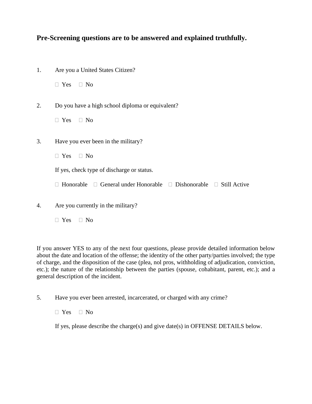## **Pre-Screening questions are to be answered and explained truthfully.**

| 1. | Are you a United States Citizen?                                                    |
|----|-------------------------------------------------------------------------------------|
|    | $\Box$ Yes $\Box$ No                                                                |
| 2. | Do you have a high school diploma or equivalent?                                    |
|    | $\Box$ Yes $\Box$ No                                                                |
| 3. | Have you ever been in the military?                                                 |
|    | $\Box$ Yes $\Box$ No                                                                |
|    | If yes, check type of discharge or status.                                          |
|    | $\Box$ General under Honorable $\Box$ Dishonorable $\Box$ Still Active<br>Honorable |
|    |                                                                                     |

- 4. Are you currently in the military?
	- $\Box$  Yes  $\Box$  No

If you answer YES to any of the next four questions, please provide detailed information below about the date and location of the offense; the identity of the other party/parties involved; the type of charge, and the disposition of the case (plea, nol pros, withholding of adjudication, conviction, etc.); the nature of the relationship between the parties (spouse, cohabitant, parent, etc.); and a general description of the incident.

5. Have you ever been arrested, incarcerated, or charged with any crime?

 $\Box$  Yes  $\Box$  No

If yes, please describe the charge(s) and give date(s) in OFFENSE DETAILS below.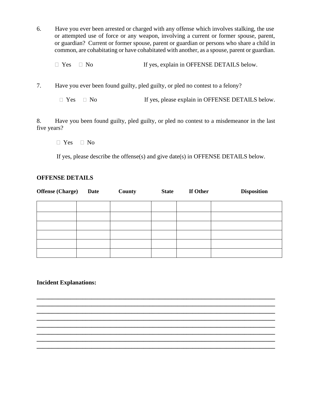6. Have you ever been arrested or charged with any offense which involves stalking, the use or attempted use of force or any weapon, involving a current or former spouse, parent, or guardian? Current or former spouse, parent or guardian or persons who share a child in common, are cohabitating or have cohabitated with another, as a spouse, parent or guardian.

 $\Box$  Yes  $\Box$  No If yes, explain in OFFENSE DETAILS below.

7. Have you ever been found guilty, pled guilty, or pled no contest to a felony?

 $\Box$  Yes  $\Box$  No If yes, please explain in OFFENSE DETAILS below.

8. Have you been found guilty, pled guilty, or pled no contest to a misdemeanor in the last five years?

 $\Box$  Yes  $\Box$  No

If yes, please describe the offense(s) and give date(s) in OFFENSE DETAILS below.

#### **OFFENSE DETAILS**

| <b>Offense</b> (Charge) | <b>Date</b> | County | <b>State</b> | If Other | <b>Disposition</b> |
|-------------------------|-------------|--------|--------------|----------|--------------------|
|                         |             |        |              |          |                    |
|                         |             |        |              |          |                    |
|                         |             |        |              |          |                    |
|                         |             |        |              |          |                    |
|                         |             |        |              |          |                    |
|                         |             |        |              |          |                    |

**\_\_\_\_\_\_\_\_\_\_\_\_\_\_\_\_\_\_\_\_\_\_\_\_\_\_\_\_\_\_\_\_\_\_\_\_\_\_\_\_\_\_\_\_\_\_\_\_\_\_\_\_\_\_\_\_\_\_\_\_\_\_\_\_\_\_\_\_\_\_\_\_\_\_\_\_\_\_ \_\_\_\_\_\_\_\_\_\_\_\_\_\_\_\_\_\_\_\_\_\_\_\_\_\_\_\_\_\_\_\_\_\_\_\_\_\_\_\_\_\_\_\_\_\_\_\_\_\_\_\_\_\_\_\_\_\_\_\_\_\_\_\_\_\_\_\_\_\_\_\_\_\_\_\_\_\_ \_\_\_\_\_\_\_\_\_\_\_\_\_\_\_\_\_\_\_\_\_\_\_\_\_\_\_\_\_\_\_\_\_\_\_\_\_\_\_\_\_\_\_\_\_\_\_\_\_\_\_\_\_\_\_\_\_\_\_\_\_\_\_\_\_\_\_\_\_\_\_\_\_\_\_\_\_\_**

**\_\_\_\_\_\_\_\_\_\_\_\_\_\_\_\_\_\_\_\_\_\_\_\_\_\_\_\_\_\_\_\_\_\_\_\_\_\_\_\_\_\_\_\_\_\_\_\_\_\_\_\_\_\_\_\_\_\_\_\_\_\_\_\_\_\_\_\_\_\_\_\_\_\_\_\_\_\_**

#### **Incident Explanations:**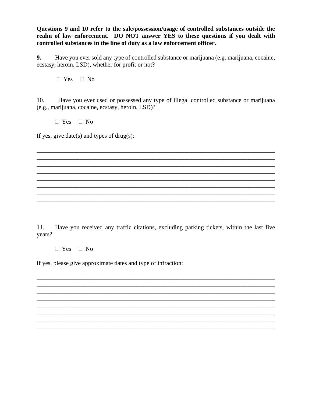**Questions 9 and 10 refer to the sale/possession/usage of controlled substances outside the realm of law enforcement. DO NOT answer YES to these questions if you dealt with controlled substances in the line of duty as a law enforcement officer.**

**9.** Have you ever sold any type of controlled substance or marijuana (e.g. marijuana, cocaine, ecstasy, heroin, LSD), whether for profit or not?

 $\Box$  Yes  $\Box$  No

10. Have you ever used or possessed any type of illegal controlled substance or marijuana (e.g., marijuana, cocaine, ecstasy, heroin, LSD)?

\_\_\_\_\_\_\_\_\_\_\_\_\_\_\_\_\_\_\_\_\_\_\_\_\_\_\_\_\_\_\_\_\_\_\_\_\_\_\_\_\_\_\_\_\_\_\_\_\_\_\_\_\_\_\_\_\_\_\_\_\_\_\_\_\_\_\_\_\_\_\_\_\_\_\_\_\_\_ \_\_\_\_\_\_\_\_\_\_\_\_\_\_\_\_\_\_\_\_\_\_\_\_\_\_\_\_\_\_\_\_\_\_\_\_\_\_\_\_\_\_\_\_\_\_\_\_\_\_\_\_\_\_\_\_\_\_\_\_\_\_\_\_\_\_\_\_\_\_\_\_\_\_\_\_\_\_ \_\_\_\_\_\_\_\_\_\_\_\_\_\_\_\_\_\_\_\_\_\_\_\_\_\_\_\_\_\_\_\_\_\_\_\_\_\_\_\_\_\_\_\_\_\_\_\_\_\_\_\_\_\_\_\_\_\_\_\_\_\_\_\_\_\_\_\_\_\_\_\_\_\_\_\_\_\_ \_\_\_\_\_\_\_\_\_\_\_\_\_\_\_\_\_\_\_\_\_\_\_\_\_\_\_\_\_\_\_\_\_\_\_\_\_\_\_\_\_\_\_\_\_\_\_\_\_\_\_\_\_\_\_\_\_\_\_\_\_\_\_\_\_\_\_\_\_\_\_\_\_\_\_\_\_\_ \_\_\_\_\_\_\_\_\_\_\_\_\_\_\_\_\_\_\_\_\_\_\_\_\_\_\_\_\_\_\_\_\_\_\_\_\_\_\_\_\_\_\_\_\_\_\_\_\_\_\_\_\_\_\_\_\_\_\_\_\_\_\_\_\_\_\_\_\_\_\_\_\_\_\_\_\_\_ \_\_\_\_\_\_\_\_\_\_\_\_\_\_\_\_\_\_\_\_\_\_\_\_\_\_\_\_\_\_\_\_\_\_\_\_\_\_\_\_\_\_\_\_\_\_\_\_\_\_\_\_\_\_\_\_\_\_\_\_\_\_\_\_\_\_\_\_\_\_\_\_\_\_\_\_\_\_ \_\_\_\_\_\_\_\_\_\_\_\_\_\_\_\_\_\_\_\_\_\_\_\_\_\_\_\_\_\_\_\_\_\_\_\_\_\_\_\_\_\_\_\_\_\_\_\_\_\_\_\_\_\_\_\_\_\_\_\_\_\_\_\_\_\_\_\_\_\_\_\_\_\_\_\_\_\_ \_\_\_\_\_\_\_\_\_\_\_\_\_\_\_\_\_\_\_\_\_\_\_\_\_\_\_\_\_\_\_\_\_\_\_\_\_\_\_\_\_\_\_\_\_\_\_\_\_\_\_\_\_\_\_\_\_\_\_\_\_\_\_\_\_\_\_\_\_\_\_\_\_\_\_\_\_\_

□ Yes □ No

If yes, give date(s) and types of drug(s):

11. Have you received any traffic citations, excluding parking tickets, within the last five years?

\_\_\_\_\_\_\_\_\_\_\_\_\_\_\_\_\_\_\_\_\_\_\_\_\_\_\_\_\_\_\_\_\_\_\_\_\_\_\_\_\_\_\_\_\_\_\_\_\_\_\_\_\_\_\_\_\_\_\_\_\_\_\_\_\_\_\_\_\_\_\_\_\_\_\_\_\_\_ \_\_\_\_\_\_\_\_\_\_\_\_\_\_\_\_\_\_\_\_\_\_\_\_\_\_\_\_\_\_\_\_\_\_\_\_\_\_\_\_\_\_\_\_\_\_\_\_\_\_\_\_\_\_\_\_\_\_\_\_\_\_\_\_\_\_\_\_\_\_\_\_\_\_\_\_\_\_ \_\_\_\_\_\_\_\_\_\_\_\_\_\_\_\_\_\_\_\_\_\_\_\_\_\_\_\_\_\_\_\_\_\_\_\_\_\_\_\_\_\_\_\_\_\_\_\_\_\_\_\_\_\_\_\_\_\_\_\_\_\_\_\_\_\_\_\_\_\_\_\_\_\_\_\_\_\_ \_\_\_\_\_\_\_\_\_\_\_\_\_\_\_\_\_\_\_\_\_\_\_\_\_\_\_\_\_\_\_\_\_\_\_\_\_\_\_\_\_\_\_\_\_\_\_\_\_\_\_\_\_\_\_\_\_\_\_\_\_\_\_\_\_\_\_\_\_\_\_\_\_\_\_\_\_\_ \_\_\_\_\_\_\_\_\_\_\_\_\_\_\_\_\_\_\_\_\_\_\_\_\_\_\_\_\_\_\_\_\_\_\_\_\_\_\_\_\_\_\_\_\_\_\_\_\_\_\_\_\_\_\_\_\_\_\_\_\_\_\_\_\_\_\_\_\_\_\_\_\_\_\_\_\_\_ \_\_\_\_\_\_\_\_\_\_\_\_\_\_\_\_\_\_\_\_\_\_\_\_\_\_\_\_\_\_\_\_\_\_\_\_\_\_\_\_\_\_\_\_\_\_\_\_\_\_\_\_\_\_\_\_\_\_\_\_\_\_\_\_\_\_\_\_\_\_\_\_\_\_\_\_\_\_ \_\_\_\_\_\_\_\_\_\_\_\_\_\_\_\_\_\_\_\_\_\_\_\_\_\_\_\_\_\_\_\_\_\_\_\_\_\_\_\_\_\_\_\_\_\_\_\_\_\_\_\_\_\_\_\_\_\_\_\_\_\_\_\_\_\_\_\_\_\_\_\_\_\_\_\_\_\_ \_\_\_\_\_\_\_\_\_\_\_\_\_\_\_\_\_\_\_\_\_\_\_\_\_\_\_\_\_\_\_\_\_\_\_\_\_\_\_\_\_\_\_\_\_\_\_\_\_\_\_\_\_\_\_\_\_\_\_\_\_\_\_\_\_\_\_\_\_\_\_\_\_\_\_\_\_\_

 $\Box$  Yes  $\Box$  No

If yes, please give approximate dates and type of infraction: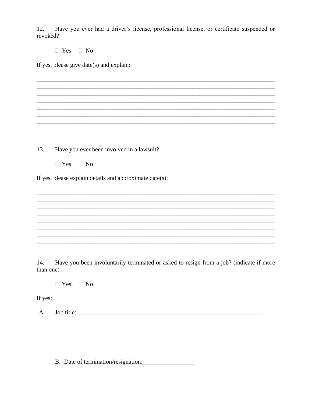Have you ever had a driver's license, professional license, or certificate suspended or 12. revoked?

 $\Box$  Yes  $\Box$  No

If yes, please give date(s) and explain:

13. Have you ever been involved in a lawsuit?

 $\Box$  Yes  $\Box$  No

If yes, please explain details and approximate date(s):

14. Have you been involuntarily terminated or asked to resign from a job? (indicate if more than one)

 $\Box$  Yes  $\Box$  No

If yes:

 $A.$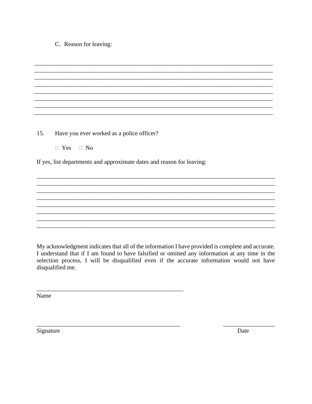#### C. Reason for leaving:

| 15. | Have you ever worked as a police officer?                              |
|-----|------------------------------------------------------------------------|
|     | $\Box$ Yes $\Box$ No                                                   |
|     |                                                                        |
|     | If yes, list departments and approximate dates and reason for leaving: |
|     |                                                                        |
|     |                                                                        |
|     |                                                                        |
|     |                                                                        |
|     |                                                                        |
|     |                                                                        |
|     |                                                                        |
|     |                                                                        |

My acknowledgment indicates that all of the information I have provided is complete and accurate. I understand that if I am found to have falsified or omitted any information at any time in the selection process, I will be disqualified even if the accurate information would not have disqualified me.

Name

Signature

Date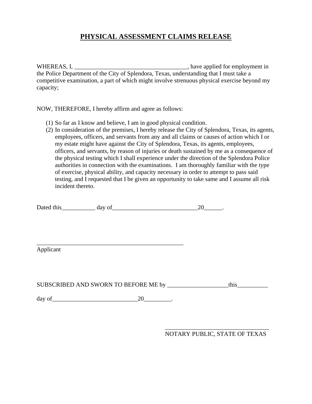# **PHYSICAL ASSESSMENT CLAIMS RELEASE**

WHEREAS, I, \_\_\_\_\_\_\_\_\_\_\_\_\_\_\_\_\_\_\_\_\_\_\_\_\_\_\_\_\_\_\_\_\_\_\_\_\_, have applied for employment in the Police Department of the City of Splendora, Texas, understanding that I must take a competitive examination, a part of which might involve strenuous physical exercise beyond my capacity;

NOW, THEREFORE, I hereby affirm and agree as follows:

- (1) So far as I know and believe, I am in good physical condition.
- (2) In consideration of the premises, I hereby release the City of Splendora, Texas, its agents, employees, officers, and servants from any and all claims or causes of action which I or my estate might have against the City of Splendora, Texas, its agents, employees, officers, and servants, by reason of injuries or death sustained by me as a consequence of the physical testing which I shall experience under the direction of the Splendora Police authorities in connection with the examinations. I am thoroughly familiar with the type of exercise, physical ability, and capacity necessary in order to attempt to pass said testing, and I requested that I be given an opportunity to take same and I assume all risk incident thereto.

| Dated<br>this | $\cdots$ |  |
|---------------|----------|--|
|               |          |  |

Applicant

SUBSCRIBED AND SWORN TO BEFORE ME by \_\_\_\_\_\_\_\_\_\_\_\_\_\_\_\_\_\_\_\_\_this\_

day of\_\_\_\_\_\_\_\_\_\_\_\_\_\_\_\_\_\_\_\_\_\_\_\_\_\_\_\_20\_\_\_\_\_\_\_\_\_.

\_\_\_\_\_\_\_\_\_\_\_\_\_\_\_\_\_\_\_\_\_\_\_\_\_\_\_\_\_\_\_\_\_\_\_\_\_\_\_\_\_\_\_\_\_\_\_\_

\_\_\_\_\_\_\_\_\_\_\_\_\_\_\_\_\_\_\_\_\_\_\_\_\_\_\_\_\_\_\_\_\_\_ NOTARY PUBLIC, STATE OF TEXAS